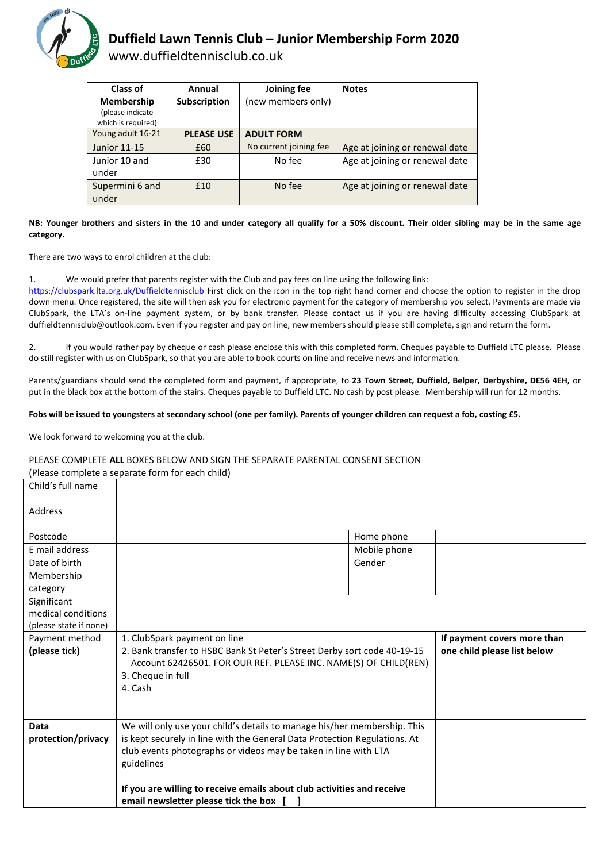

# **Duffield Lawn Tennis Club – Junior Membership Form 2020**

www.duffieldtennisclub.co.uk

| Class of<br>Membership                 | Annual<br><b>Subscription</b> | Joining fee<br>(new members only) | <b>Notes</b>                   |
|----------------------------------------|-------------------------------|-----------------------------------|--------------------------------|
| (please indicate<br>which is required) |                               |                                   |                                |
| Young adult 16-21                      | <b>PLEASE USE</b>             | <b>ADULT FORM</b>                 |                                |
| <b>Junior 11-15</b>                    | £60                           | No current joining fee            | Age at joining or renewal date |
| Junior 10 and<br>under                 | £30                           | No fee                            | Age at joining or renewal date |
| Supermini 6 and<br>under               | £10                           | No fee                            | Age at joining or renewal date |

#### **NB: Younger brothers and sisters in the 10 and under category all qualify for a 50% discount. Their older sibling may be in the same age category.**

There are two ways to enrol children at the club:

1. We would prefer that parents register with the Club and pay fees on line using the following link:

<https://clubspark.lta.org.uk/Duffieldtennisclub> First click on the icon in the top right hand corner and choose the option to register in the drop down menu. Once registered, the site will then ask you for electronic payment for the category of membership you select. Payments are made via ClubSpark, the LTA's on-line payment system, or by bank transfer. Please contact us if you are having difficulty accessing ClubSpark at duffieldtennisclub@outlook.com. Even if you register and pay on line, new members should please still complete, sign and return the form.

2. If you would rather pay by cheque or cash please enclose this with this completed form. Cheques payable to Duffield LTC please. Please do still register with us on ClubSpark, so that you are able to book courts on line and receive news and information.

Parents/guardians should send the completed form and payment, if appropriate, to **23 Town Street, Duffield, Belper, Derbyshire, DE56 4EH,** or put in the black box at the bottom of the stairs. Cheques payable to Duffield LTC. No cash by post please. Membership will run for 12 months.

#### **Fobs will be issued to youngsters at secondary school (one per family). Parents of younger children can request a fob, costing £5.**

We look forward to welcoming you at the club.

### PLEASE COMPLETE **ALL** BOXES BELOW AND SIGN THE SEPARATE PARENTAL CONSENT SECTION

(Please complete a separate form for each child)

| Child's full name      |                                                                               |                             |                             |
|------------------------|-------------------------------------------------------------------------------|-----------------------------|-----------------------------|
| Address                |                                                                               |                             |                             |
| Postcode               |                                                                               | Home phone                  |                             |
| E mail address         |                                                                               | Mobile phone                |                             |
| Date of birth          | Gender                                                                        |                             |                             |
| Membership             |                                                                               |                             |                             |
| category               |                                                                               |                             |                             |
| Significant            |                                                                               |                             |                             |
| medical conditions     |                                                                               |                             |                             |
| (please state if none) |                                                                               |                             |                             |
| Payment method         | 1. ClubSpark payment on line                                                  | If payment covers more than |                             |
|                        |                                                                               |                             |                             |
| (please tick)          | 2. Bank transfer to HSBC Bank St Peter's Street Derby sort code 40-19-15      |                             | one child please list below |
|                        | Account 62426501. FOR OUR REF. PLEASE INC. NAME(S) OF CHILD(REN)              |                             |                             |
|                        | 3. Cheque in full                                                             |                             |                             |
|                        | 4. Cash                                                                       |                             |                             |
|                        |                                                                               |                             |                             |
| <b>Data</b>            |                                                                               |                             |                             |
|                        | We will only use your child's details to manage his/her membership. This      |                             |                             |
| protection/privacy     | is kept securely in line with the General Data Protection Regulations. At     |                             |                             |
|                        | club events photographs or videos may be taken in line with LTA<br>guidelines |                             |                             |
|                        |                                                                               |                             |                             |
|                        | If you are willing to receive emails about club activities and receive        |                             |                             |